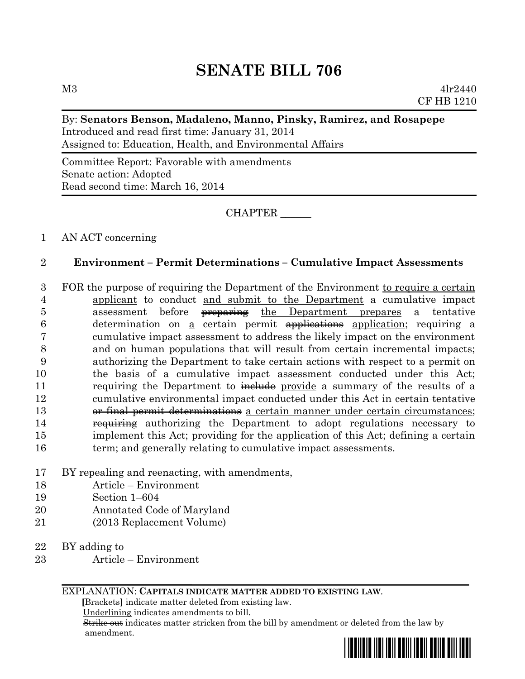# **SENATE BILL 706**

#### By: **Senators Benson, Madaleno, Manno, Pinsky, Ramirez, and Rosapepe**

Introduced and read first time: January 31, 2014 Assigned to: Education, Health, and Environmental Affairs

Committee Report: Favorable with amendments Senate action: Adopted Read second time: March 16, 2014

## CHAPTER \_\_\_\_\_\_

### 1 AN ACT concerning

### 2 **Environment – Permit Determinations – Cumulative Impact Assessments**

- 3 FOR the purpose of requiring the Department of the Environment to require a certain 4 applicant to conduct and submit to the Department a cumulative impact 5 assessment before preparing the Department prepares a tentative 6 determination on <u>a</u> certain permit **applications** application; requiring a 7 cumulative impact assessment to address the likely impact on the environment 8 and on human populations that will result from certain incremental impacts; 9 authorizing the Department to take certain actions with respect to a permit on 10 the basis of a cumulative impact assessment conducted under this Act; 11 requiring the Department to include provide a summary of the results of a 12 cumulative environmental impact conducted under this Act in constant tentative 13 or final permit determinations a certain manner under certain circumstances; 14 **requiring** authorizing the Department to adopt regulations necessary to 15 implement this Act; providing for the application of this Act; defining a certain 16 term; and generally relating to cumulative impact assessments.
- 17 BY repealing and reenacting, with amendments,
- 18 Article Environment
- 19 Section 1–604
- 20 Annotated Code of Maryland
- 21 (2013 Replacement Volume)

22 BY adding to

23 Article – Environment

#### EXPLANATION: **CAPITALS INDICATE MATTER ADDED TO EXISTING LAW**.

 **[**Brackets**]** indicate matter deleted from existing law.

Underlining indicates amendments to bill.

 Strike out indicates matter stricken from the bill by amendment or deleted from the law by amendment.

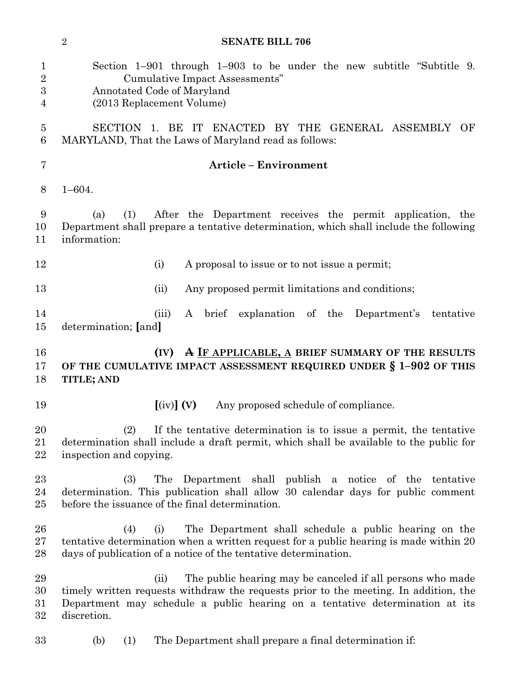|                                      | $\overline{2}$<br><b>SENATE BILL 706</b>                                                                                                                                                                                                                  |  |  |  |  |  |  |  |  |  |  |
|--------------------------------------|-----------------------------------------------------------------------------------------------------------------------------------------------------------------------------------------------------------------------------------------------------------|--|--|--|--|--|--|--|--|--|--|
| $\mathbf{1}$<br>$\sqrt{2}$<br>3<br>4 | Section $1-901$ through $1-903$ to be under the new subtitle "Subtitle 9.<br>Cumulative Impact Assessments"<br>Annotated Code of Maryland<br>(2013 Replacement Volume)                                                                                    |  |  |  |  |  |  |  |  |  |  |
| $\overline{5}$<br>6                  | SECTION 1. BE IT<br>ENACTED BY THE GENERAL ASSEMBLY OF<br>MARYLAND, That the Laws of Maryland read as follows:                                                                                                                                            |  |  |  |  |  |  |  |  |  |  |
| $\overline{7}$                       | <b>Article - Environment</b>                                                                                                                                                                                                                              |  |  |  |  |  |  |  |  |  |  |
| 8                                    | $1 - 604.$                                                                                                                                                                                                                                                |  |  |  |  |  |  |  |  |  |  |
| 9<br>10<br>11                        | After the Department receives the permit application, the<br>(a)<br>(1)<br>Department shall prepare a tentative determination, which shall include the following<br>information:                                                                          |  |  |  |  |  |  |  |  |  |  |
| 12                                   | (i)<br>A proposal to issue or to not issue a permit;                                                                                                                                                                                                      |  |  |  |  |  |  |  |  |  |  |
| 13                                   | Any proposed permit limitations and conditions;<br>(ii)                                                                                                                                                                                                   |  |  |  |  |  |  |  |  |  |  |
| 14<br>15                             | brief explanation of the<br>(iii)<br>A<br>Department's<br>tentative<br>determination; [and]                                                                                                                                                               |  |  |  |  |  |  |  |  |  |  |
| 16<br>17<br>18                       | A IF APPLICABLE, A BRIEF SUMMARY OF THE RESULTS<br>(IV)<br>OF THE CUMULATIVE IMPACT ASSESSMENT REQUIRED UNDER § 1-902 OF THIS<br><b>TITLE; AND</b>                                                                                                        |  |  |  |  |  |  |  |  |  |  |
| 19                                   | $\left[\text{(iv)}\right]$ (V)<br>Any proposed schedule of compliance.                                                                                                                                                                                    |  |  |  |  |  |  |  |  |  |  |
| 20<br>21<br>22                       | (2)<br>If the tentative determination is to issue a permit, the tentative<br>determination shall include a draft permit, which shall be available to the public for<br>inspection and copying.                                                            |  |  |  |  |  |  |  |  |  |  |
| 23<br>24<br>25                       | The Department shall publish a notice of the tentative<br>(3)<br>determination. This publication shall allow 30 calendar days for public comment<br>before the issuance of the final determination.                                                       |  |  |  |  |  |  |  |  |  |  |
| 26<br>27<br>28                       | The Department shall schedule a public hearing on the<br>(4)<br>(i)<br>tentative determination when a written request for a public hearing is made within 20<br>days of publication of a notice of the tentative determination.                           |  |  |  |  |  |  |  |  |  |  |
| 29<br>30<br>31<br>32                 | The public hearing may be canceled if all persons who made<br>(ii)<br>timely written requests withdraw the requests prior to the meeting. In addition, the<br>Department may schedule a public hearing on a tentative determination at its<br>discretion. |  |  |  |  |  |  |  |  |  |  |
| 33                                   | The Department shall prepare a final determination if:<br>(1)<br>(b)                                                                                                                                                                                      |  |  |  |  |  |  |  |  |  |  |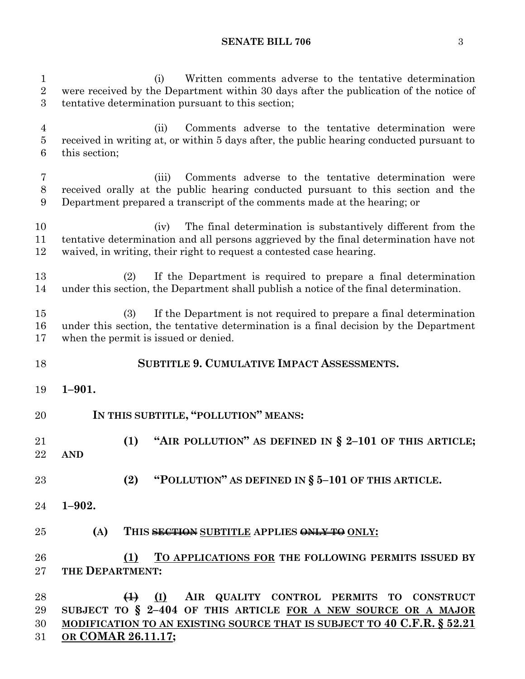#### **SENATE BILL 706** 3

 (i) Written comments adverse to the tentative determination were received by the Department within 30 days after the publication of the notice of tentative determination pursuant to this section; (ii) Comments adverse to the tentative determination were received in writing at, or within 5 days after, the public hearing conducted pursuant to this section; (iii) Comments adverse to the tentative determination were received orally at the public hearing conducted pursuant to this section and the Department prepared a transcript of the comments made at the hearing; or (iv) The final determination is substantively different from the tentative determination and all persons aggrieved by the final determination have not waived, in writing, their right to request a contested case hearing. (2) If the Department is required to prepare a final determination under this section, the Department shall publish a notice of the final determination. (3) If the Department is not required to prepare a final determination under this section, the tentative determination is a final decision by the Department when the permit is issued or denied. **SUBTITLE 9. CUMULATIVE IMPACT ASSESSMENTS. 1–901. IN THIS SUBTITLE, "POLLUTION" MEANS: (1) "AIR POLLUTION" AS DEFINED IN § 2–101 OF THIS ARTICLE; AND (2) "POLLUTION" AS DEFINED IN § 5–101 OF THIS ARTICLE. 1–902. (A) THIS SECTION SUBTITLE APPLIES ONLY TO ONLY: (1) TO APPLICATIONS FOR THE FOLLOWING PERMITS ISSUED BY THE DEPARTMENT: (1) (I) AIR QUALITY CONTROL PERMITS TO CONSTRUCT SUBJECT TO § 2–404 OF THIS ARTICLE FOR A NEW SOURCE OR A MAJOR MODIFICATION TO AN EXISTING SOURCE THAT IS SUBJECT TO 40 C.F.R. § 52.21**

**OR COMAR 26.11.17;**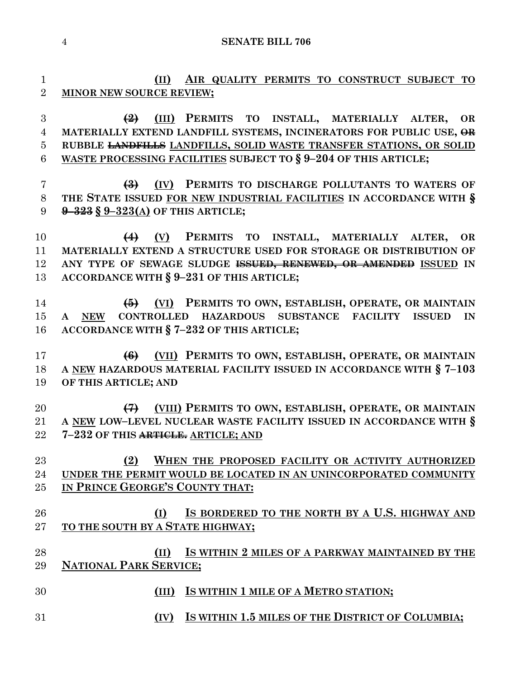**SENATE BILL 706**

 **(II) AIR QUALITY PERMITS TO CONSTRUCT SUBJECT TO MINOR NEW SOURCE REVIEW; (2) (III) PERMITS TO INSTALL, MATERIALLY ALTER, OR MATERIALLY EXTEND LANDFILL SYSTEMS, INCINERATORS FOR PUBLIC USE, OR RUBBLE LANDFILLS LANDFILLS, SOLID WASTE TRANSFER STATIONS, OR SOLID WASTE PROCESSING FACILITIES SUBJECT TO § 9–204 OF THIS ARTICLE; (3) (IV) PERMITS TO DISCHARGE POLLUTANTS TO WATERS OF THE STATE ISSUED FOR NEW INDUSTRIAL FACILITIES IN ACCORDANCE WITH § 9–323 § 9–323(A) OF THIS ARTICLE; (4) (V) PERMITS TO INSTALL, MATERIALLY ALTER, OR MATERIALLY EXTEND A STRUCTURE USED FOR STORAGE OR DISTRIBUTION OF ANY TYPE OF SEWAGE SLUDGE ISSUED, RENEWED, OR AMENDED ISSUED IN ACCORDANCE WITH § 9–231 OF THIS ARTICLE; (5) (VI) PERMITS TO OWN, ESTABLISH, OPERATE, OR MAINTAIN A NEW CONTROLLED HAZARDOUS SUBSTANCE FACILITY ISSUED IN ACCORDANCE WITH § 7–232 OF THIS ARTICLE; (6) (VII) PERMITS TO OWN, ESTABLISH, OPERATE, OR MAINTAIN A NEW HAZARDOUS MATERIAL FACILITY ISSUED IN ACCORDANCE WITH § 7–103 OF THIS ARTICLE; AND (7) (VIII) PERMITS TO OWN, ESTABLISH, OPERATE, OR MAINTAIN A NEW LOW–LEVEL NUCLEAR WASTE FACILITY ISSUED IN ACCORDANCE WITH § 7–232 OF THIS ARTICLE. ARTICLE; AND (2) WHEN THE PROPOSED FACILITY OR ACTIVITY AUTHORIZED UNDER THE PERMIT WOULD BE LOCATED IN AN UNINCORPORATED COMMUNITY IN PRINCE GEORGE'S COUNTY THAT: (I) IS BORDERED TO THE NORTH BY A U.S. HIGHWAY AND TO THE SOUTH BY A STATE HIGHWAY; (II) IS WITHIN 2 MILES OF A PARKWAY MAINTAINED BY THE NATIONAL PARK SERVICE; (III) IS WITHIN 1 MILE OF A METRO STATION; (IV) IS WITHIN 1.5 MILES OF THE DISTRICT OF COLUMBIA;**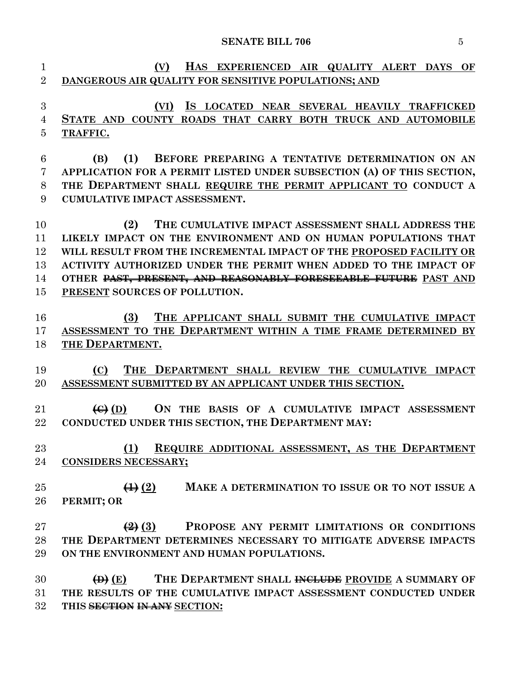#### **SENATE BILL 706** 5

 **(V) HAS EXPERIENCED AIR QUALITY ALERT DAYS OF DANGEROUS AIR QUALITY FOR SENSITIVE POPULATIONS; AND (VI) IS LOCATED NEAR SEVERAL HEAVILY TRAFFICKED STATE AND COUNTY ROADS THAT CARRY BOTH TRUCK AND AUTOMOBILE TRAFFIC. (B) (1) BEFORE PREPARING A TENTATIVE DETERMINATION ON AN APPLICATION FOR A PERMIT LISTED UNDER SUBSECTION (A) OF THIS SECTION, THE DEPARTMENT SHALL REQUIRE THE PERMIT APPLICANT TO CONDUCT A CUMULATIVE IMPACT ASSESSMENT. (2) THE CUMULATIVE IMPACT ASSESSMENT SHALL ADDRESS THE LIKELY IMPACT ON THE ENVIRONMENT AND ON HUMAN POPULATIONS THAT WILL RESULT FROM THE INCREMENTAL IMPACT OF THE PROPOSED FACILITY OR ACTIVITY AUTHORIZED UNDER THE PERMIT WHEN ADDED TO THE IMPACT OF OTHER PAST, PRESENT, AND REASONABLY FORESEEABLE FUTURE PAST AND PRESENT SOURCES OF POLLUTION. (3) THE APPLICANT SHALL SUBMIT THE CUMULATIVE IMPACT ASSESSMENT TO THE DEPARTMENT WITHIN A TIME FRAME DETERMINED BY THE DEPARTMENT. (C) THE DEPARTMENT SHALL REVIEW THE CUMULATIVE IMPACT ASSESSMENT SUBMITTED BY AN APPLICANT UNDER THIS SECTION. (C) (D) ON THE BASIS OF A CUMULATIVE IMPACT ASSESSMENT CONDUCTED UNDER THIS SECTION, THE DEPARTMENT MAY: (1) REQUIRE ADDITIONAL ASSESSMENT, AS THE DEPARTMENT CONSIDERS NECESSARY; (1) (2) MAKE A DETERMINATION TO ISSUE OR TO NOT ISSUE A PERMIT; OR (2) (3) PROPOSE ANY PERMIT LIMITATIONS OR CONDITIONS THE DEPARTMENT DETERMINES NECESSARY TO MITIGATE ADVERSE IMPACTS ON THE ENVIRONMENT AND HUMAN POPULATIONS. (D) (E) THE DEPARTMENT SHALL INCLUDE PROVIDE A SUMMARY OF THE RESULTS OF THE CUMULATIVE IMPACT ASSESSMENT CONDUCTED UNDER THIS SECTION IN ANY SECTION:**